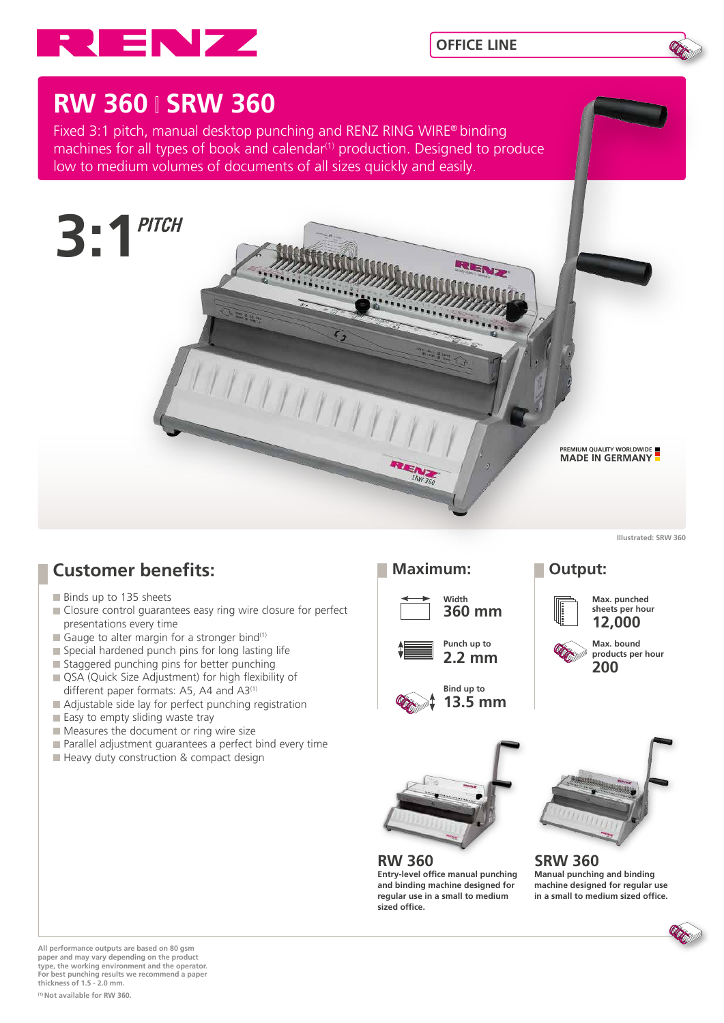



# **RW 360 SRW 360**

Fixed 3:1 pitch, manual desktop punching and RENZ RING WIRE® binding machines for all types of book and calendar<sup>(1)</sup> production. Designed to produce low to medium volumes of documents of all sizes quickly and easily.



**Illustrated: SRW 360**

## **Customer benefits:**

- Binds up to 135 sheets
- Closure control quarantees easy ring wire closure for perfect presentations every time
- Gauge to alter margin for a stronger bind<sup>(1)</sup>
- $\blacksquare$  Special hardened punch pins for long lasting life
- Staggered punching pins for better punching
- QSA (Quick Size Adjustment) for high flexibility of different paper formats: A5, A4 and A3<sup>(1)</sup>
- Adjustable side lay for perfect punching registration
- Easy to empty sliding waste tray
- Measures the document or ring wire size
- **Parallel adjustment quarantees a perfect bind every time**
- Heavy duty construction & compact design

### **Maximum: Output:**









### **Max. punched sheets per hour 12,000**





**RW 360 Entry-level office manual punching and binding machine designed for regular use in a small to medium sized office.**



**SRW 360 Manual punching and binding machine designed for regular use in a small to medium sized office.**

**All performance outputs are based on 80 gsm paper and may vary depending on the product type, the working environment and the operator. For best punching results we recommend a paper thickness of 1.5 - 2.0 mm.**